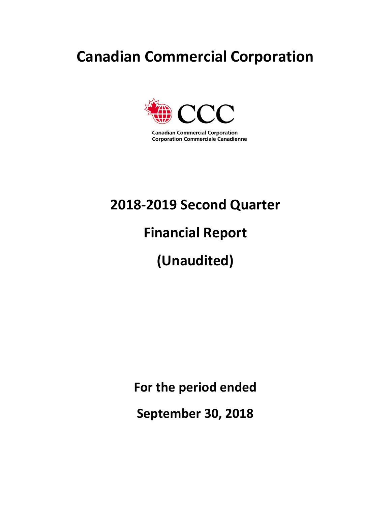# **Canadian Commercial Corporation**



**Canadian Commercial Corporation Corporation Commerciale Canadienne** 

# **2018-2019 Second Quarter**

# **Financial Report**

# **(Unaudited)**

**For the period ended** 

**September 30, 2018**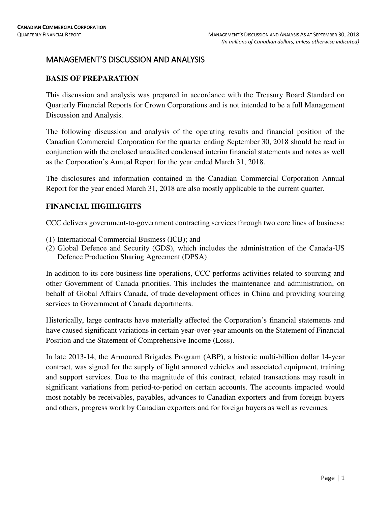# MANAGEMENT'S DISCUSSION AND ANALYSIS

# **BASIS OF PREPARATION**

This discussion and analysis was prepared in accordance with the Treasury Board Standard on Quarterly Financial Reports for Crown Corporations and is not intended to be a full Management Discussion and Analysis.

The following discussion and analysis of the operating results and financial position of the Canadian Commercial Corporation for the quarter ending September 30, 2018 should be read in conjunction with the enclosed unaudited condensed interim financial statements and notes as well as the Corporation's Annual Report for the year ended March 31, 2018.

The disclosures and information contained in the Canadian Commercial Corporation Annual Report for the year ended March 31, 2018 are also mostly applicable to the current quarter.

# **FINANCIAL HIGHLIGHTS**

CCC delivers government-to-government contracting services through two core lines of business:

- (1) International Commercial Business (ICB); and
- (2) Global Defence and Security (GDS), which includes the administration of the Canada-US Defence Production Sharing Agreement (DPSA)

In addition to its core business line operations, CCC performs activities related to sourcing and other Government of Canada priorities. This includes the maintenance and administration, on behalf of Global Affairs Canada, of trade development offices in China and providing sourcing services to Government of Canada departments.

Historically, large contracts have materially affected the Corporation's financial statements and have caused significant variations in certain year-over-year amounts on the Statement of Financial Position and the Statement of Comprehensive Income (Loss).

In late 2013-14, the Armoured Brigades Program (ABP), a historic multi-billion dollar 14-year contract, was signed for the supply of light armored vehicles and associated equipment, training and support services. Due to the magnitude of this contract, related transactions may result in significant variations from period-to-period on certain accounts. The accounts impacted would most notably be receivables, payables, advances to Canadian exporters and from foreign buyers and others, progress work by Canadian exporters and for foreign buyers as well as revenues.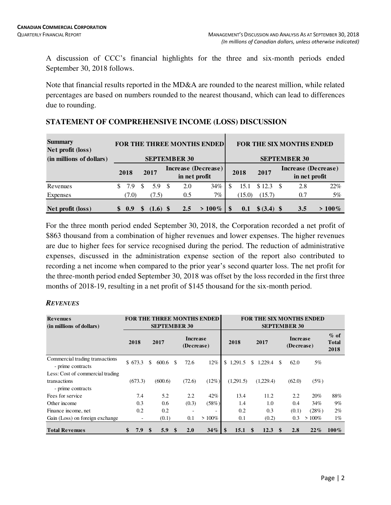A discussion of CCC's financial highlights for the three and six-month periods ended September 30, 2018 follows.

Note that financial results reported in the MD&A are rounded to the nearest million, while related percentages are based on numbers rounded to the nearest thousand, which can lead to differences due to rounding.

| <b>Summary</b><br>Net profit (loss) |     |       |               |            |                     | <b>FOR THE THREE MONTHS ENDED</b> |          |        |             | <b>FOR THE SIX MONTHS ENDED</b> |                                      |          |  |  |  |  |
|-------------------------------------|-----|-------|---------------|------------|---------------------|-----------------------------------|----------|--------|-------------|---------------------------------|--------------------------------------|----------|--|--|--|--|
| (in millions of dollars)            |     |       |               |            | <b>SEPTEMBER 30</b> |                                   |          |        |             | <b>SEPTEMBER 30</b>             |                                      |          |  |  |  |  |
|                                     |     | 2018  |               | 2017       | in net profit       | Increase (Decrease)               |          | 2018   | 2017        |                                 | Increase (Decrease)<br>in net profit |          |  |  |  |  |
| Revenues                            |     | 7.9   | <sup>\$</sup> | 5.9 \$     | 2.0                 | 34%                               | S        | 15.1   | \$12.3      | - \$                            | 2.8                                  | 22%      |  |  |  |  |
| Expenses                            |     | (7.0) |               | (7.5)      | 0.5                 | $7\%$                             |          | (15.0) | (15.7)      |                                 | 0.7                                  | 5%       |  |  |  |  |
| Net profit (loss)                   | \$. | 0.9   |               | $(1.6)$ \$ | 2.5                 | $> 100\%$                         | <b>S</b> | 0.1    | \$ (3.4) \$ |                                 | 3.5                                  | $>100\%$ |  |  |  |  |

# **STATEMENT OF COMPREHENSIVE INCOME (LOSS) DISCUSSION**

For the three month period ended September 30, 2018, the Corporation recorded a net profit of \$863 thousand from a combination of higher revenues and lower expenses. The higher revenues are due to higher fees for service recognised during the period. The reduction of administrative expenses, discussed in the administration expense section of the report also contributed to recording a net income when compared to the prior year's second quarter loss. The net profit for the three-month period ended September 30, 2018 was offset by the loss recorded in the first three months of 2018-19, resulting in a net profit of \$145 thousand for the six-month period.

# *REVENUES*

| <b>Revenues</b><br>(in millions of dollars)          |           |   | <b>FOR THE THREE MONTHS ENDED</b><br><b>SEPTEMBER 30</b> |          |                               |                          |            | <b>FOR THE SIX MONTHS ENDED</b> |             | <b>SEPTEMBER 30</b>           |          |                                 |
|------------------------------------------------------|-----------|---|----------------------------------------------------------|----------|-------------------------------|--------------------------|------------|---------------------------------|-------------|-------------------------------|----------|---------------------------------|
|                                                      | 2018      |   | 2017                                                     |          | <b>Increase</b><br>(Decrease) |                          | 2018       | 2017                            |             | <b>Increase</b><br>(Decrease) |          | $\%$ of<br><b>Total</b><br>2018 |
| Commercial trading transactions<br>- prime contracts | \$673.3   |   | \$<br>600.6                                              | <b>S</b> | 72.6                          | 12%                      | \$1,291.5  | \$.<br>1,229.4                  | \$          | 62.0                          | 5%       |                                 |
| Less: Cost of commercial trading                     |           |   |                                                          |          |                               |                          |            |                                 |             |                               |          |                                 |
| transactions<br>- prime contracts                    | (673.3)   |   | (600.6)                                                  |          | (72.6)                        | (12%)                    | (1.291.5)  | (1,229.4)                       |             | (62.0)                        | (5%)     |                                 |
| Fees for service                                     | 7.4       |   | 5.2                                                      |          | 2.2                           | 42%                      | 13.4       | 11.2                            |             | 2.2                           | 20%      | 88%                             |
| Other income                                         | 0.3       |   | 0.6                                                      |          | (0.3)                         | (58%)                    | 1.4        | 1.0                             |             | 0.4                           | 34%      | 9%                              |
| Finance income, net                                  | 0.2       |   | 0.2                                                      |          |                               | $\overline{\phantom{a}}$ | 0.2        | 0.3                             |             | (0.1)                         | (28%)    | $2\%$                           |
| Gain (Loss) on foreign exchange                      |           | - | (0.1)                                                    |          | 0.1                           | $>100\%$                 | 0.1        | (0.2)                           |             | 0.3                           | $>100\%$ | $1\%$                           |
| <b>Total Revenues</b>                                | \$<br>7.9 |   | 5.9<br>\$                                                | \$       | 2.0                           | 34%                      | \$<br>15.1 | \$<br>12.3                      | $\mathbf s$ | 2.8                           | $22\%$   | $100\%$                         |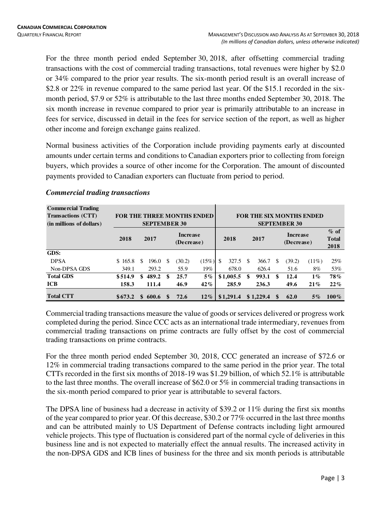For the three month period ended September 30, 2018, after offsetting commercial trading transactions with the cost of commercial trading transactions, total revenues were higher by \$2.0 or 34% compared to the prior year results. The six-month period result is an overall increase of \$2.8 or 22% in revenue compared to the same period last year. Of the \$15.1 recorded in the sixmonth period, \$7.9 or 52% is attributable to the last three months ended September 30, 2018. The six month increase in revenue compared to prior year is primarily attributable to an increase in fees for service, discussed in detail in the fees for service section of the report, as well as higher other income and foreign exchange gains realized.

Normal business activities of the Corporation include providing payments early at discounted amounts under certain terms and conditions to Canadian exporters prior to collecting from foreign buyers, which provides a source of other income for the Corporation. The amount of discounted payments provided to Canadian exporters can fluctuate from period to period.

| <b>Commercial Trading</b><br><b>Transactions (CTT)</b><br>(in millions of dollars) | FOR THE THREE MONTHS ENDED |     | <b>SEPTEMBER 30</b> |     |                               |        | <b>FOR THE SIX MONTHS ENDED</b><br><b>SEPTEMBER 30</b> |           |      |           |                        |        |          |                                |  |  |
|------------------------------------------------------------------------------------|----------------------------|-----|---------------------|-----|-------------------------------|--------|--------------------------------------------------------|-----------|------|-----------|------------------------|--------|----------|--------------------------------|--|--|
|                                                                                    | 2018                       |     | 2017                |     | <b>Increase</b><br>(Decrease) |        |                                                        | 2018      | 2017 |           | Increase<br>(Decrease) |        |          | $%$ of<br><b>Total</b><br>2018 |  |  |
| GDS:                                                                               |                            |     |                     |     |                               |        |                                                        |           |      |           |                        |        |          |                                |  |  |
| <b>DPSA</b>                                                                        | \$165.8                    | \$. | 196.0               | \$. | (30.2)                        | (15%)  | <sup>\$</sup>                                          | 327.5     | \$.  | 366.7     | \$                     | (39.2) | $(11\%)$ | 25%                            |  |  |
| Non-DPSA GDS                                                                       | 349.1                      |     | 293.2               |     | 55.9                          | 19%    |                                                        | 678.0     |      | 626.4     |                        | 51.6   | 8%       | 53%                            |  |  |
| <b>Total GDS</b>                                                                   | \$514.9                    | \$  | 489.2               | \$  | 25.7                          | $5\%$  |                                                        | \$1,005.5 | \$   | 993.1     | \$                     | 12.4   | $1\%$    | 78%                            |  |  |
| <b>ICB</b>                                                                         | 158.3                      |     | 111.4               |     | 46.9                          | 42%    |                                                        | 285.9     |      | 236.3     |                        | 49.6   | 21%      | 22%                            |  |  |
| <b>Total CTT</b>                                                                   | \$673.2                    | \$  | 600.6               | \$  | 72.6                          | $12\%$ |                                                        | \$1,291.4 |      | \$1,229.4 |                        | 62.0   | $5\%$    | $100\%$                        |  |  |

# *Commercial trading transactions*

Commercial trading transactions measure the value of goods or services delivered or progress work completed during the period. Since CCC acts as an international trade intermediary, revenues from commercial trading transactions on prime contracts are fully offset by the cost of commercial trading transactions on prime contracts.

For the three month period ended September 30, 2018, CCC generated an increase of \$72.6 or 12% in commercial trading transactions compared to the same period in the prior year. The total CTTs recorded in the first six months of 2018-19 was \$1.29 billion, of which 52.1% is attributable to the last three months. The overall increase of \$62.0 or 5% in commercial trading transactions in the six-month period compared to prior year is attributable to several factors.

The DPSA line of business had a decrease in activity of \$39.2 or 11% during the first six months of the year compared to prior year. Of this decrease, \$30.2 or 77% occurred in the last three months and can be attributed mainly to US Department of Defense contracts including light armoured vehicle projects. This type of fluctuation is considered part of the normal cycle of deliveries in this business line and is not expected to materially effect the annual results. The increased activity in the non-DPSA GDS and ICB lines of business for the three and six month periods is attributable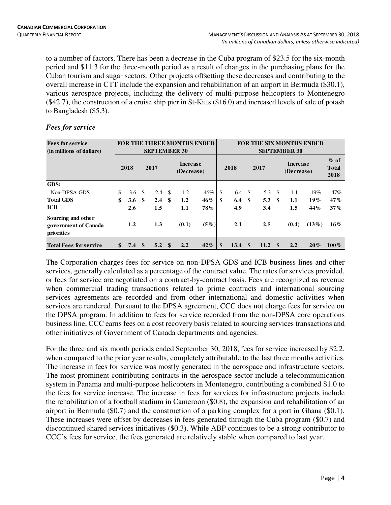to a number of factors. There has been a decrease in the Cuba program of \$23.5 for the six-month period and \$11.3 for the three-month period as a result of changes in the purchasing plans for the Cuban tourism and sugar sectors. Other projects offsetting these decreases and contributing to the overall increase in CTT include the expansion and rehabilitation of an airport in Bermuda (\$30.1), various aerospace projects, including the delivery of multi-purpose helicopters to Montenegro (\$42.7), the construction of a cruise ship pier in St-Kitts (\$16.0) and increased levels of sale of potash to Bangladesh (\$5.3).

| <b>Fees for service</b><br>(in millions of dollars)      |                      |               | <b>SEPTEMBER 30</b> |      | <b>FOR THE THREE MONTHS ENDED</b> |         | <b>FOR THE SIX MONTHS ENDED</b><br><b>SEPTEMBER 30</b> |             |      |      |      |                               |          |                                |  |
|----------------------------------------------------------|----------------------|---------------|---------------------|------|-----------------------------------|---------|--------------------------------------------------------|-------------|------|------|------|-------------------------------|----------|--------------------------------|--|
|                                                          | 2018                 | 2017          |                     |      | Increase<br>(Decrease)            |         | 2018                                                   |             | 2017 |      |      | <b>Increase</b><br>(Decrease) |          | $%$ of<br><b>Total</b><br>2018 |  |
| <b>GDS:</b>                                              |                      |               |                     |      |                                   |         |                                                        |             |      |      |      |                               |          |                                |  |
| Non-DPSA GDS                                             | \$<br>3.6 $\sqrt{3}$ |               | 2.4                 | - \$ | 1.2                               | 46%     | \$                                                     | 6.4 $\sqrt$ |      | 5.3  | - \$ | 1.1                           | 19%      | 47%                            |  |
| <b>Total GDS</b>                                         | \$<br>3.6            | \$            | 2.4                 | \$   | 1.2                               | 46%     | \$                                                     | 6.4         | \$   | 5.3  | - \$ | 1.1                           | $19\%$   | 47%                            |  |
| <b>ICB</b>                                               | 2.6                  |               | 1.5                 |      | 1.1                               | 78%     |                                                        | 4.9         |      | 3.4  |      | $1.5\,$                       | 44%      | 37%                            |  |
| Sourcing and other<br>government of Canada<br>priorities | 1.2                  |               | 1.3                 |      | (0.1)                             | $(5\%)$ |                                                        | 2.1         |      | 2.5  |      | (0.4)                         | $(13\%)$ | $16\%$                         |  |
| <b>Total Fees for service</b>                            | \$<br>7.4            | $\mathbf{\$}$ | 5.2 <sup>°</sup>    |      | 2.2                               | 42%     | \$                                                     | 13.4        | \$   | 11.2 | \$   | 2.2                           | $20\%$   | $100\%$                        |  |

# *Fees for service*

The Corporation charges fees for service on non-DPSA GDS and ICB business lines and other services, generally calculated as a percentage of the contract value. The rates for services provided, or fees for service are negotiated on a contract-by-contract basis. Fees are recognized as revenue when commercial trading transactions related to prime contracts and international sourcing services agreements are recorded and from other international and domestic activities when services are rendered. Pursuant to the DPSA agreement, CCC does not charge fees for service on the DPSA program. In addition to fees for service recorded from the non-DPSA core operations business line, CCC earns fees on a cost recovery basis related to sourcing services transactions and other initiatives of Government of Canada departments and agencies.

For the three and six month periods ended September 30, 2018, fees for service increased by \$2.2, when compared to the prior year results, completely attributable to the last three months activities. The increase in fees for service was mostly generated in the aerospace and infrastructure sectors. The most prominent contributing contracts in the aerospace sector include a telecommunication system in Panama and multi-purpose helicopters in Montenegro, contributing a combined \$1.0 to the fees for service increase. The increase in fees for services for infrastructure projects include the rehabilitation of a football stadium in Cameroon (\$0.8), the expansion and rehabilitation of an airport in Bermuda (\$0.7) and the construction of a parking complex for a port in Ghana (\$0.1). These increases were offset by decreases in fees generated through the Cuba program (\$0.7) and discontinued shared services initiatives (\$0.3). While ABP continues to be a strong contributor to CCC's fees for service, the fees generated are relatively stable when compared to last year.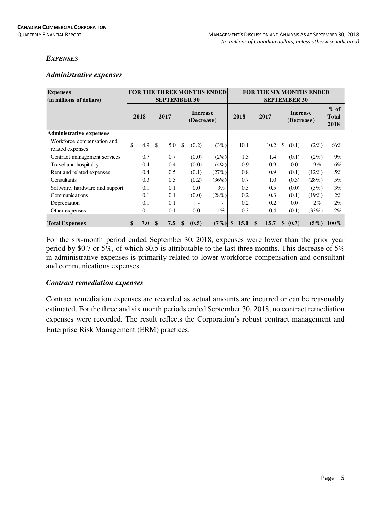# *EXPENSES*

# *Administrative expenses*

| <b>Expenses</b><br>(in millions of dollars)    |           |    | <b>SEPTEMBER 30</b> |                          | <b>FOR THE THREE MONTHS ENDED</b> | <b>FOR THE SIX MONTHS ENDED</b><br><b>SEPTEMBER 30</b> |            |    |                               |          |                                |  |  |
|------------------------------------------------|-----------|----|---------------------|--------------------------|-----------------------------------|--------------------------------------------------------|------------|----|-------------------------------|----------|--------------------------------|--|--|
|                                                | 2018      |    | 2017                | Increase<br>(Decrease)   |                                   | 2018                                                   | 2017       |    | <b>Increase</b><br>(Decrease) |          | $%$ of<br><b>Total</b><br>2018 |  |  |
| <b>Administrative expenses</b>                 |           |    |                     |                          |                                   |                                                        |            |    |                               |          |                                |  |  |
| Workforce compensation and<br>related expenses | \$<br>4.9 | -S | 5.0                 | \$<br>(0.2)              | (3%)                              | 10.1                                                   | 10.2       | \$ | (0.1)                         | $(2\%)$  | 66%                            |  |  |
| Contract management services                   | 0.7       |    | 0.7                 | (0.0)                    | (2%)                              | 1.3                                                    | $1.4\,$    |    | (0.1)                         | $(2\%)$  | $9\%$                          |  |  |
| Travel and hospitality                         | 0.4       |    | 0.4                 | (0.0)                    | (4%)                              | 0.9                                                    | 0.9        |    | 0.0                           | $9\%$    | 6%                             |  |  |
| Rent and related expenses                      | 0.4       |    | 0.5                 | (0.1)                    | (27%)                             | 0.8                                                    | 0.9        |    | (0.1)                         | $(12\%)$ | 5%                             |  |  |
| Consultants                                    | 0.3       |    | 0.5                 | (0.2)                    | (36%)                             | 0.7                                                    | 1.0        |    | (0.3)                         | (28%)    | 5%                             |  |  |
| Software, hardware and support                 | 0.1       |    | 0.1                 | 0.0                      | 3%                                | 0.5                                                    | 0.5        |    | (0.0)                         | (5%)     | 3%                             |  |  |
| Communications                                 | 0.1       |    | 0.1                 | (0.0)                    | (28%)                             | 0.2                                                    | 0.3        |    | (0.1)                         | $(19\%)$ | $2\%$                          |  |  |
| Depreciation                                   | 0.1       |    | 0.1                 | $\overline{\phantom{a}}$ | $\overline{\phantom{0}}$          | 0.2                                                    | 0.2        |    | 0.0                           | $2\%$    | $2\%$                          |  |  |
| Other expenses                                 | 0.1       |    | 0.1                 | 0.0                      | $1\%$                             | 0.3                                                    | 0.4        |    | (0.1)                         | (33%)    | $2\%$                          |  |  |
| <b>Total Expenses</b>                          | \$<br>7.0 | \$ | 7.5                 | \$<br>(0.5)              | $(7\%)$                           | \$<br>15.0                                             | \$<br>15.7 | \$ | (0.7)                         | $(5\%)$  | $100\%$                        |  |  |

For the six-month period ended September 30, 2018, expenses were lower than the prior year period by \$0.7 or 5%, of which \$0.5 is attributable to the last three months. This decrease of 5% in administrative expenses is primarily related to lower workforce compensation and consultant and communications expenses.

# *Contract remediation expenses*

Contract remediation expenses are recorded as actual amounts are incurred or can be reasonably estimated. For the three and six month periods ended September 30, 2018, no contract remediation expenses were recorded. The result reflects the Corporation's robust contract management and Enterprise Risk Management (ERM) practices.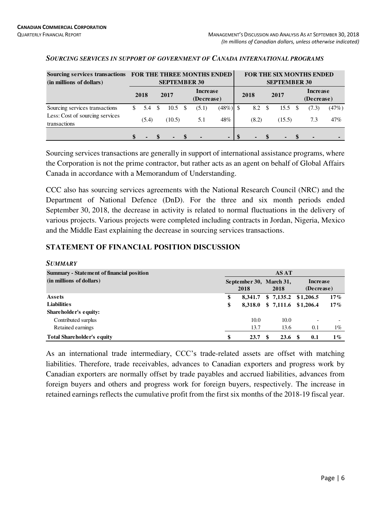| Sourcing services transactions<br>(in millions of dollars) |           |      | <b>SEPTEMBER 30</b> | FOR THE THREE MONTHS ENDED |                |       |               | <b>SEPTEMBER 30</b> | FOR THE SIX MONTHS ENDED      |       |  |  |
|------------------------------------------------------------|-----------|------|---------------------|----------------------------|----------------|-------|---------------|---------------------|-------------------------------|-------|--|--|
|                                                            | 2018      |      | 2017                | Increase<br>(Decrease)     |                | 2018  |               | 2017                | <b>Increase</b><br>(Decrease) |       |  |  |
| Sourcing services transactions                             | \$<br>5.4 | - \$ | $10.5 \text{ }$ \$  | (5.1)                      | $(48\%)$ \$    | 8.2   | <sup>\$</sup> | $15.5 \text{ }$ \$  | (7.3)                         | (47%) |  |  |
| Less: Cost of sourcing services<br>transactions            | (5.4)     |      | (10.5)              | 5.1                        | 48%            | (8.2) |               | (15.5)              | 7.3                           | 47%   |  |  |
|                                                            |           |      |                     | $\blacksquare$             | $\blacksquare$ |       |               |                     |                               |       |  |  |

#### *SOURCING SERVICES IN SUPPORT OF GOVERNMENT OF CANADA INTERNATIONAL PROGRAMS*

Sourcing services transactions are generally in support of international assistance programs, where the Corporation is not the prime contractor, but rather acts as an agent on behalf of Global Affairs Canada in accordance with a Memorandum of Understanding.

CCC also has sourcing services agreements with the National Research Council (NRC) and the Department of National Defence (DnD). For the three and six month periods ended September 30, 2018, the decrease in activity is related to normal fluctuations in the delivery of various projects. Various projects were completed including contracts in Jordan, Nigeria, Mexico and the Middle East explaining the decrease in sourcing services transactions.

# **STATEMENT OF FINANCIAL POSITION DISCUSSION**

| <b>SUMMARY</b>                                   |                                 |                       |     |                        |
|--------------------------------------------------|---------------------------------|-----------------------|-----|------------------------|
| <b>Summary - Statement of financial position</b> |                                 | AS AT                 |     |                        |
| (in millions of dollars)                         | September 30, March 31,<br>2018 | 2018                  |     | Increase<br>(Decrease) |
| Assets                                           | \$<br>8.341.7                   | $$7,135.2$ $$1,206.5$ |     | 17%                    |
| <b>Liabilities</b>                               | \$<br>8.318.0                   | $$7,111.6$ $$1,206.4$ |     | 17%                    |
| Shareholder's equity:                            |                                 |                       |     |                        |
| Contributed surplus                              | 10.0                            | 10.0                  |     |                        |
| Retained earnings                                | 13.7                            | 13.6                  | 0.1 | $1\%$                  |
| <b>Total Shareholder's equity</b>                | \$<br>23.7                      | 23.6 <sup>8</sup>     | 0.1 | $1\%$                  |

As an international trade intermediary, CCC's trade-related assets are offset with matching liabilities. Therefore, trade receivables, advances to Canadian exporters and progress work by Canadian exporters are normally offset by trade payables and accrued liabilities, advances from foreign buyers and others and progress work for foreign buyers, respectively. The increase in retained earnings reflects the cumulative profit from the first six months of the 2018-19 fiscal year.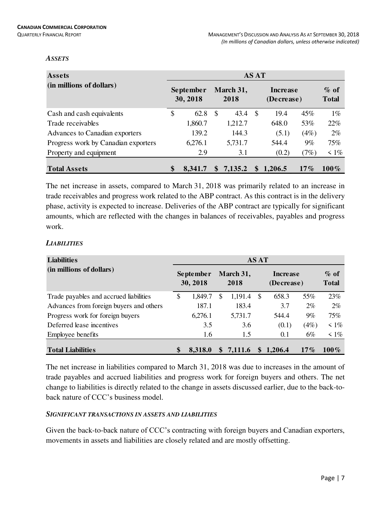#### *ASSETS*

| <b>Assets</b>                       | <b>AS AT</b> |                       |    |                   |    |                        |        |                         |  |  |  |  |
|-------------------------------------|--------------|-----------------------|----|-------------------|----|------------------------|--------|-------------------------|--|--|--|--|
| (in millions of dollars)            |              | September<br>30, 2018 |    | March 31,<br>2018 |    | Increase<br>(Decrease) |        | $\%$ of<br><b>Total</b> |  |  |  |  |
| Cash and cash equivalents           | \$           | 62.8                  | -S | 43.4              | -S | 19.4                   | 45%    | $1\%$                   |  |  |  |  |
| Trade receivables                   |              | 1,860.7               |    | 1,212.7           |    | 648.0                  | 53%    | 22%                     |  |  |  |  |
| Advances to Canadian exporters      |              | 139.2                 |    | 144.3             |    | (5.1)                  | (4%)   | 2%                      |  |  |  |  |
| Progress work by Canadian exporters |              | 6,276.1               |    | 5,731.7           |    | 544.4                  | 9%     | 75%                     |  |  |  |  |
| Property and equipment              |              | 2.9                   |    | 3.1               |    | (0.2)                  | (7%)   | $\leq 1\%$              |  |  |  |  |
| <b>Total Assets</b>                 | \$           | 8,341.7               | S  | 7,135.2           | \$ | 1,206.5                | $17\%$ | $100\%$                 |  |  |  |  |

The net increase in assets, compared to March 31, 2018 was primarily related to an increase in trade receivables and progress work related to the ABP contract. As this contract is in the delivery phase, activity is expected to increase. Deliveries of the ABP contract are typically for significant amounts, which are reflected with the changes in balances of receivables, payables and progress work.

# *LIABILITIES*

| <b>Liabilities</b>                      | <b>AS AT</b> |                       |          |                   |     |                               |        |                         |  |  |  |  |  |
|-----------------------------------------|--------------|-----------------------|----------|-------------------|-----|-------------------------------|--------|-------------------------|--|--|--|--|--|
| (in millions of dollars)                |              | September<br>30, 2018 |          | March 31,<br>2018 |     | <b>Increase</b><br>(Decrease) |        | $\%$ of<br><b>Total</b> |  |  |  |  |  |
| Trade payables and accrued liabilities  | S            | 1,849.7               | S        | 1,191.4           | \$. | 658.3                         | 55%    | 23%                     |  |  |  |  |  |
| Advances from foreign buyers and others |              | 187.1                 |          | 183.4             |     | 3.7                           | $2\%$  | $2\%$                   |  |  |  |  |  |
| Progress work for foreign buyers        |              | 6,276.1               |          | 5,731.7           |     | 544.4                         | 9%     | 75%                     |  |  |  |  |  |
| Deferred lease incentives               |              | 3.5                   |          | 3.6               |     | (0.1)                         | (4%)   | $\leq 1\%$              |  |  |  |  |  |
| Employee benefits                       |              | 1.6                   |          | 1.5               |     | 0.1                           | 6%     | $\leq 1\%$              |  |  |  |  |  |
| <b>Total Liabilities</b>                |              | 8,318.0               | <b>S</b> | 7,111.6           |     | \$1,206.4                     | $17\%$ | $100\%$                 |  |  |  |  |  |

The net increase in liabilities compared to March 31, 2018 was due to increases in the amount of trade payables and accrued liabilities and progress work for foreign buyers and others. The net change to liabilities is directly related to the change in assets discussed earlier, due to the back-toback nature of CCC's business model.

# *SIGNIFICANT TRANSACTIONS IN ASSETS AND LIABILITIES*

Given the back-to-back nature of CCC's contracting with foreign buyers and Canadian exporters, movements in assets and liabilities are closely related and are mostly offsetting.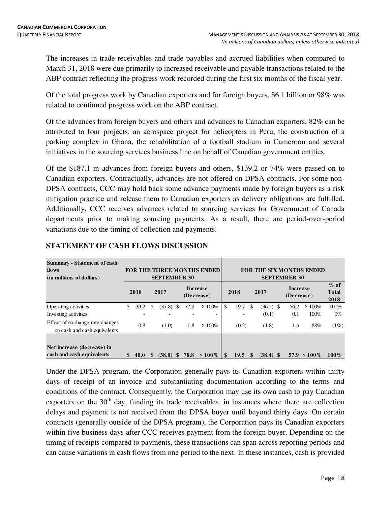The increases in trade receivables and trade payables and accrued liabilities when compared to March 31, 2018 were due primarily to increased receivable and payable transactions related to the ABP contract reflecting the progress work recorded during the first six months of the fiscal year.

Of the total progress work by Canadian exporters and for foreign buyers, \$6.1 billion or 98% was related to continued progress work on the ABP contract.

Of the advances from foreign buyers and others and advances to Canadian exporters, 82% can be attributed to four projects: an aerospace project for helicopters in Peru, the construction of a parking complex in Ghana, the rehabilitation of a football stadium in Cameroon and several initiatives in the sourcing services business line on behalf of Canadian government entities.

Of the \$187.1 in advances from foreign buyers and others, \$139.2 or 74% were passed on to Canadian exporters. Contractually, advances are not offered on DPSA contracts. For some non-DPSA contracts, CCC may hold back some advance payments made by foreign buyers as a risk mitigation practice and release them to Canadian exporters as delivery obligations are fulfilled. Additionally, CCC receives advances related to sourcing services for Government of Canada departments prior to making sourcing payments. As a result, there are period-over-period variations due to the timing of collection and payments.

| <b>Summary - Statement of cash</b><br>flows<br>(in millions of dollars) |    |                          |   | <b>SEPTEMBER 30</b> |   |      | <b>FOR THE THREE MONTHS ENDED</b> |     |       |          |             |  | <b>SEPTEMBER 30</b>           | <b>FOR THE SIX MONTHS ENDED</b> |                                |
|-------------------------------------------------------------------------|----|--------------------------|---|---------------------|---|------|-----------------------------------|-----|-------|----------|-------------|--|-------------------------------|---------------------------------|--------------------------------|
|                                                                         |    | 2018                     |   | 2017                |   |      | <b>Increase</b><br>(Decrease)     |     | 2018  | 2017     |             |  | <b>Increase</b><br>(Decrease) |                                 | $%$ of<br><b>Total</b><br>2018 |
| Operating activities                                                    | \$ | 39.2                     | S | (37.8)              | S | 77.0 | $>100\%$                          | \$  | 19.7  | \$.      | $(36.5)$ \$ |  | 56.2                          | $>100\%$                        | 101%                           |
| Investing activities                                                    |    | $\overline{\phantom{0}}$ |   |                     |   |      | $\overline{\phantom{0}}$          |     |       |          | (0.1)       |  | 0.1                           | 100%                            | $0\%$                          |
| Effect of exchange rate changes<br>on cash and cash equivalents         |    | 0.8                      |   | (1.0)               |   | 1.8  | $>100\%$                          |     | (0.2) |          | (1.8)       |  | 1.6                           | 88%                             | (1%)                           |
| Net increase (decrease) in<br>cash and cash equivalents                 | S  | 40.0                     |   | (38.8)              |   | 78.8 | $> 100\%$                         | \$. | 19.5  | <b>S</b> | $(38.4)$ \$ |  |                               | $57.9 > 100\%$                  | $100\%$                        |

# **STATEMENT OF CASH FLOWS DISCUSSION**

Under the DPSA program, the Corporation generally pays its Canadian exporters within thirty days of receipt of an invoice and substantiating documentation according to the terms and conditions of the contract. Consequently, the Corporation may use its own cash to pay Canadian exporters on the 30<sup>th</sup> day, funding its trade receivables, in instances where there are collection delays and payment is not received from the DPSA buyer until beyond thirty days. On certain contracts (generally outside of the DPSA program), the Corporation pays its Canadian exporters within five business days after CCC receives payment from the foreign buyer. Depending on the timing of receipts compared to payments, these transactions can span across reporting periods and can cause variations in cash flows from one period to the next. In these instances, cash is provided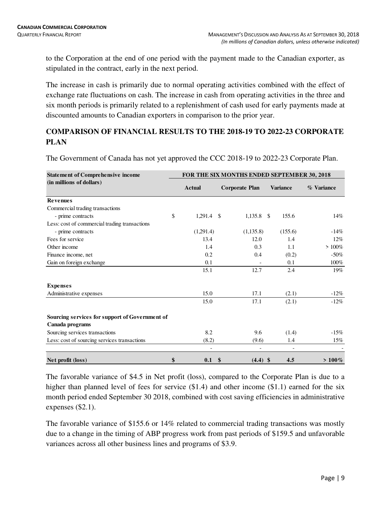to the Corporation at the end of one period with the payment made to the Canadian exporter, as stipulated in the contract, early in the next period.

The increase in cash is primarily due to normal operating activities combined with the effect of exchange rate fluctuations on cash. The increase in cash from operating activities in the three and six month periods is primarily related to a replenishment of cash used for early payments made at discounted amounts to Canadian exporters in comparison to the prior year.

# **COMPARISON OF FINANCIAL RESULTS TO THE 2018-19 TO 2022-23 CORPORATE PLAN**

The Government of Canada has not yet approved the CCC 2018-19 to 2022-23 Corporate Plan.

| <b>Statement of Comprehensive income</b>                          |                                       |               | FOR THE SIX MONTHS ENDED SEPTEMBER 30, 2018 |    |                 |            |
|-------------------------------------------------------------------|---------------------------------------|---------------|---------------------------------------------|----|-----------------|------------|
| (in millions of dollars)                                          | <b>Actual</b>                         |               | <b>Corporate Plan</b>                       |    | <b>Variance</b> | % Variance |
| <b>Revenues</b>                                                   |                                       |               |                                             |    |                 |            |
| Commercial trading transactions                                   |                                       |               |                                             |    |                 |            |
| - prime contracts                                                 | \$<br>1,291.4                         | -\$           | 1,135.8                                     | -S | 155.6           | 14%        |
| Less: cost of commercial trading transactions                     |                                       |               |                                             |    |                 |            |
| - prime contracts                                                 | (1,291.4)                             |               | (1, 135.8)                                  |    | (155.6)         | $-14%$     |
| Fees for service                                                  | 13.4                                  |               | 12.0                                        |    | 1.4             | $12\%$     |
| Other income                                                      | 1.4                                   |               | 0.3                                         |    | 1.1             | $>100\%$   |
| Finance income, net                                               | 0.2                                   |               | 0.4                                         |    | (0.2)           | $-50%$     |
| Gain on foreign exchange                                          | 0.1                                   |               |                                             |    | 0.1             | 100%       |
|                                                                   | 15.1                                  |               | 12.7                                        |    | 2.4             | 19%        |
| <b>Expenses</b>                                                   |                                       |               |                                             |    |                 |            |
| Administrative expenses                                           | 15.0                                  |               | 17.1                                        |    | (2.1)           | $-12\%$    |
|                                                                   | 15.0                                  |               | 17.1                                        |    | (2.1)           | $-12%$     |
| Sourcing services for support of Government of<br>Canada programs |                                       |               |                                             |    |                 |            |
| Sourcing services transactions                                    | 8.2                                   |               | 9.6                                         |    | (1.4)           | $-15%$     |
| Less: cost of sourcing services transactions                      | (8.2)                                 |               | (9.6)                                       |    | 1.4             | 15%        |
| Net profit (loss)                                                 | \$<br>$\overline{\phantom{a}}$<br>0.1 | $\mathbf{\$}$ | $\overline{\phantom{a}}$<br>$(4.4)$ \$      |    | 4.5             | $> 100\%$  |

The favorable variance of \$4.5 in Net profit (loss), compared to the Corporate Plan is due to a higher than planned level of fees for service  $(\$1.4)$  and other income  $(\$1.1)$  earned for the six month period ended September 30 2018, combined with cost saving efficiencies in administrative expenses (\$2.1).

The favorable variance of \$155.6 or 14% related to commercial trading transactions was mostly due to a change in the timing of ABP progress work from past periods of \$159.5 and unfavorable variances across all other business lines and programs of \$3.9.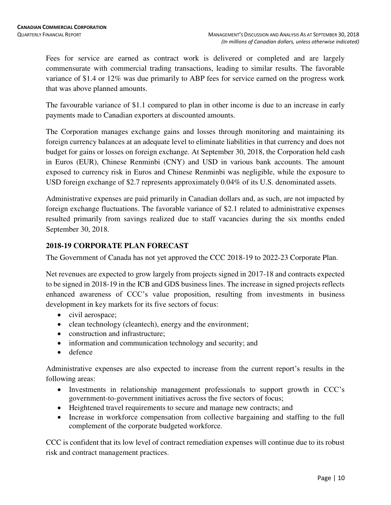Fees for service are earned as contract work is delivered or completed and are largely commensurate with commercial trading transactions, leading to similar results. The favorable variance of \$1.4 or 12% was due primarily to ABP fees for service earned on the progress work that was above planned amounts.

The favourable variance of \$1.1 compared to plan in other income is due to an increase in early payments made to Canadian exporters at discounted amounts.

The Corporation manages exchange gains and losses through monitoring and maintaining its foreign currency balances at an adequate level to eliminate liabilities in that currency and does not budget for gains or losses on foreign exchange. At September 30, 2018, the Corporation held cash in Euros (EUR), Chinese Renminbi (CNY) and USD in various bank accounts. The amount exposed to currency risk in Euros and Chinese Renminbi was negligible, while the exposure to USD foreign exchange of \$2.7 represents approximately 0.04% of its U.S. denominated assets.

Administrative expenses are paid primarily in Canadian dollars and, as such, are not impacted by foreign exchange fluctuations. The favorable variance of \$2.1 related to administrative expenses resulted primarily from savings realized due to staff vacancies during the six months ended September 30, 2018.

# **2018-19 CORPORATE PLAN FORECAST**

The Government of Canada has not yet approved the CCC 2018-19 to 2022-23 Corporate Plan.

Net revenues are expected to grow largely from projects signed in 2017-18 and contracts expected to be signed in 2018-19 in the ICB and GDS business lines. The increase in signed projects reflects enhanced awareness of CCC's value proposition, resulting from investments in business development in key markets for its five sectors of focus:

- civil aerospace;
- clean technology (cleantech), energy and the environment;
- construction and infrastructure;
- information and communication technology and security; and
- defence

Administrative expenses are also expected to increase from the current report's results in the following areas:

- Investments in relationship management professionals to support growth in CCC's government-to-government initiatives across the five sectors of focus;
- Heightened travel requirements to secure and manage new contracts; and
- Increase in workforce compensation from collective bargaining and staffing to the full complement of the corporate budgeted workforce.

CCC is confident that its low level of contract remediation expenses will continue due to its robust risk and contract management practices.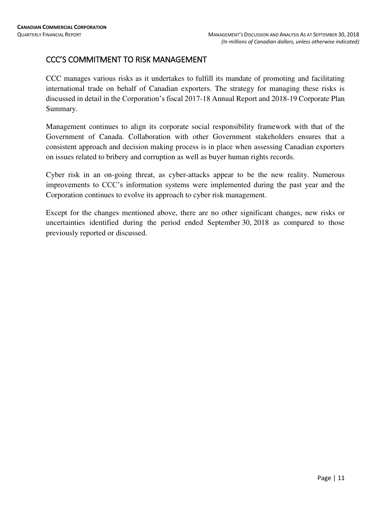# CCC'S COMMITMENT TO RISK MANAGEMENT

CCC manages various risks as it undertakes to fulfill its mandate of promoting and facilitating international trade on behalf of Canadian exporters. The strategy for managing these risks is discussed in detail in the Corporation's fiscal 2017-18 Annual Report and 2018-19 Corporate Plan Summary.

Management continues to align its corporate social responsibility framework with that of the Government of Canada. Collaboration with other Government stakeholders ensures that a consistent approach and decision making process is in place when assessing Canadian exporters on issues related to bribery and corruption as well as buyer human rights records.

Cyber risk in an on-going threat, as cyber-attacks appear to be the new reality. Numerous improvements to CCC's information systems were implemented during the past year and the Corporation continues to evolve its approach to cyber risk management.

Except for the changes mentioned above, there are no other significant changes, new risks or uncertainties identified during the period ended September 30, 2018 as compared to those previously reported or discussed.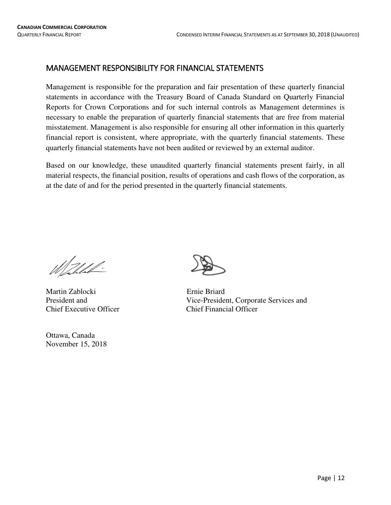# MANAGEMENT RESPONSIBILITY FOR FINANCIAL STATEMENTS

Management is responsible for the preparation and fair presentation of these quarterly financial statements in accordance with the Treasury Board of Canada Standard on Quarterly Financial Reports for Crown Corporations and for such internal controls as Management determines is necessary to enable the preparation of quarterly financial statements that are free from material misstatement. Management is also responsible for ensuring all other information in this quarterly financial report is consistent, where appropriate, with the quarterly financial statements. These quarterly financial statements have not been audited or reviewed by an external auditor.

Based on our knowledge, these unaudited quarterly financial statements present fairly, in all material respects, the financial position, results of operations and cash flows of the corporation, as at the date of and for the period presented in the quarterly financial statements.

Mahhh!

Martin Zablocki Ernie Briard Chief Executive Officer Chief Financial Officer

Ottawa, Canada November 15, 2018



President and Vice-President, Corporate Services and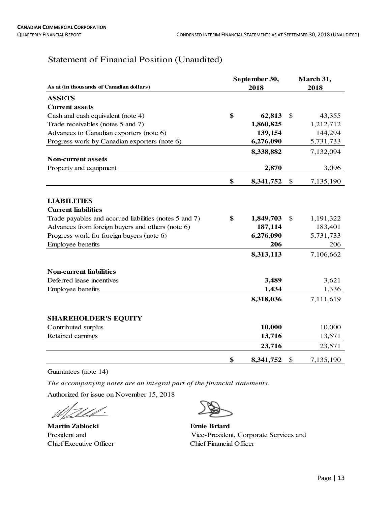# Statement of Financial Position (Unaudited)

|                                                        | September 30,   | March 31,       |
|--------------------------------------------------------|-----------------|-----------------|
| As at (in thousands of Canadian dollars)               | 2018            | 2018            |
| <b>ASSETS</b>                                          |                 |                 |
| <b>Current assets</b>                                  |                 |                 |
| Cash and cash equivalent (note 4)                      | \$<br>62,813    | \$<br>43,355    |
| Trade receivables (notes 5 and 7)                      | 1,860,825       | 1,212,712       |
| Advances to Canadian exporters (note 6)                | 139,154         | 144,294         |
| Progress work by Canadian exporters (note 6)           | 6,276,090       | 5,731,733       |
|                                                        | 8,338,882       | 7,132,094       |
| <b>Non-current assets</b>                              |                 |                 |
| Property and equipment                                 | 2,870           | 3,096           |
|                                                        | \$<br>8,341,752 | \$<br>7,135,190 |
|                                                        |                 |                 |
| <b>LIABILITIES</b>                                     |                 |                 |
| <b>Current liabilities</b>                             |                 |                 |
| Trade payables and accrued liabilities (notes 5 and 7) | \$<br>1,849,703 | \$<br>1,191,322 |
| Advances from foreign buyers and others (note 6)       | 187,114         | 183,401         |
| Progress work for foreign buyers (note 6)              | 6,276,090       | 5,731,733       |
| Employee benefits                                      | 206             | 206             |
|                                                        | 8,313,113       | 7,106,662       |
| <b>Non-current liabilities</b>                         |                 |                 |
| Deferred lease incentives                              | 3,489           | 3,621           |
| Employee benefits                                      | 1,434           | 1,336           |
|                                                        | 8,318,036       | 7,111,619       |
| <b>SHAREHOLDER'S EQUITY</b>                            |                 |                 |
| Contributed surplus                                    | 10,000          | 10,000          |
| Retained earnings                                      | 13,716          | 13,571          |
|                                                        | 23,716          | 23,571          |
|                                                        | \$<br>8,341,752 | \$<br>7,135,190 |

Guarantees (note 14)

*The accompanying notes are an integral part of the financial statements.*

Authorized for issue on November 15, 2018

Zheld-DI.

**Martin Zablocki Ernie Briard** Chief Executive Officer Chief Financial Officer



President and Vice-President, Corporate Services and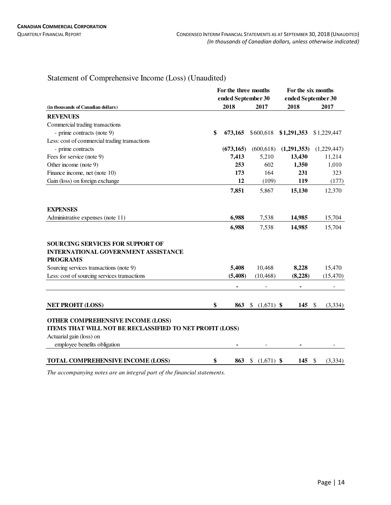# Statement of Comprehensive Income (Loss) (Unaudited)

|                                                                                                          |                            | For the three months |                              | For the six months<br>ended September 30 |                         |  |  |  |
|----------------------------------------------------------------------------------------------------------|----------------------------|----------------------|------------------------------|------------------------------------------|-------------------------|--|--|--|
|                                                                                                          | ended September 30<br>2018 |                      | 2017                         | 2018                                     |                         |  |  |  |
| (in thousands of Canadian dollars)                                                                       |                            |                      |                              |                                          | 2017                    |  |  |  |
| <b>REVENUES</b>                                                                                          |                            |                      |                              |                                          |                         |  |  |  |
| Commercial trading transactions                                                                          |                            |                      |                              |                                          |                         |  |  |  |
| - prime contracts (note 9)                                                                               | \$                         | 673,165              | \$600,618                    | \$1,291,353                              | \$1,229,447             |  |  |  |
| Less: cost of commercial trading transactions                                                            |                            |                      |                              |                                          |                         |  |  |  |
| - prime contracts                                                                                        |                            | (673, 165)           | (600, 618)                   | (1,291,353)                              | (1,229,447)             |  |  |  |
| Fees for service (note 9)                                                                                |                            | 7,413                | 5,210                        | 13,430                                   | 11,214                  |  |  |  |
| Other income (note 9)                                                                                    |                            | 253                  | 602                          | 1,350                                    | 1,010                   |  |  |  |
| Finance income, net (note 10)                                                                            |                            | 173                  | 164                          | 231                                      | 323                     |  |  |  |
| Gain (loss) on foreign exchange                                                                          |                            | 12                   | (109)                        | 119                                      | (177)                   |  |  |  |
|                                                                                                          |                            | 7,851                | 5,867                        | 15,130                                   | 12,370                  |  |  |  |
| <b>EXPENSES</b>                                                                                          |                            |                      |                              |                                          |                         |  |  |  |
| Administrative expenses (note 11)                                                                        |                            | 6,988                | 7,538                        | 14,985                                   | 15,704                  |  |  |  |
|                                                                                                          |                            | 6,988                | 7,538                        | 14,985                                   | 15,704                  |  |  |  |
| <b>SOURCING SERVICES FOR SUPPORT OF</b><br><b>INTERNATIONAL GOVERNMENT ASSISTANCE</b><br><b>PROGRAMS</b> |                            |                      |                              |                                          |                         |  |  |  |
| Sourcing services transactions (note 9)                                                                  |                            | 5,408                | 10,468                       | 8,228                                    | 15,470                  |  |  |  |
| Less: cost of sourcing services transactions                                                             |                            | (5, 408)             | (10, 468)                    | (8,228)                                  | (15, 470)               |  |  |  |
|                                                                                                          |                            | -                    |                              | ۰                                        | $\overline{a}$          |  |  |  |
| <b>NET PROFIT (LOSS)</b>                                                                                 | \$                         | 863                  | $(1,671)$ \$<br>$\mathbb{S}$ | 145                                      | $\mathbb{S}$<br>(3,334) |  |  |  |
| OTHER COMPREHENSIVE INCOME (LOSS)<br>ITEMS THAT WILL NOT BE RECLASSIFIED TO NET PROFIT (LOSS)            |                            |                      |                              |                                          |                         |  |  |  |
| Actuarial gain (loss) on                                                                                 |                            |                      |                              |                                          |                         |  |  |  |
| employee benefits obligation                                                                             |                            |                      |                              |                                          |                         |  |  |  |
| <b>TOTAL COMPREHENSIVE INCOME (LOSS)</b>                                                                 | \$                         | 863                  | $$(1,671)$ \\$               | 145                                      | -\$<br>(3, 334)         |  |  |  |

*The accompanying notes are an integral part of the financial statements.*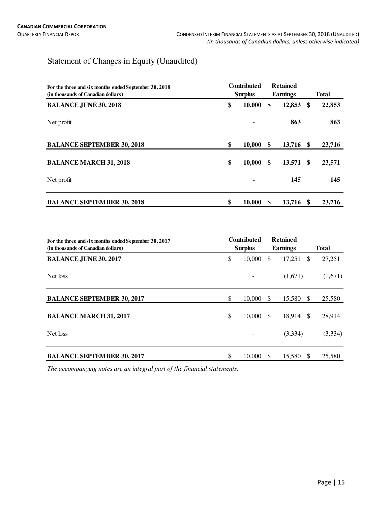# Statement of Changes in Equity (Unaudited)

| <b>Contributed</b><br>For the three and six months ended September 30, 2018<br><b>Surplus</b><br>(in thousands of Canadian dollars) |    |        | <b>Retained</b><br><b>Earnings</b> | <b>Total</b>  |        |  |
|-------------------------------------------------------------------------------------------------------------------------------------|----|--------|------------------------------------|---------------|--------|--|
| <b>BALANCE JUNE 30, 2018</b>                                                                                                        | \$ | 10,000 | \$<br>12,853                       | \$            | 22,853 |  |
| Net profit                                                                                                                          |    |        | 863                                |               | 863    |  |
| <b>BALANCE SEPTEMBER 30, 2018</b>                                                                                                   | \$ | 10,000 | \$<br>13,716 \$                    |               | 23,716 |  |
| <b>BALANCE MARCH 31, 2018</b>                                                                                                       | \$ | 10,000 | \$<br>13,571                       | <sup>\$</sup> | 23,571 |  |
| Net profit                                                                                                                          |    |        | 145                                |               | 145    |  |
| <b>BALANCE SEPTEMBER 30, 2018</b>                                                                                                   | \$ | 10,000 | \$<br>13,716                       | -S            | 23,716 |  |

| For the three and six months ended September 30, 2017<br>(in thousands of Canadian dollars) | <b>Contributed</b><br><b>Retained</b><br><b>Surplus</b><br><b>Earnings</b> |                   | <b>Total</b>  |         |               |         |
|---------------------------------------------------------------------------------------------|----------------------------------------------------------------------------|-------------------|---------------|---------|---------------|---------|
| <b>BALANCE JUNE 30, 2017</b>                                                                | \$                                                                         | 10,000            | \$            | 17,251  | <sup>\$</sup> | 27,251  |
| Net loss                                                                                    |                                                                            |                   |               | (1,671) |               | (1,671) |
| <b>BALANCE SEPTEMBER 30, 2017</b>                                                           | \$                                                                         | $10,000 \quad$ \$ |               | 15,580  | \$            | 25,580  |
| <b>BALANCE MARCH 31, 2017</b>                                                               | \$                                                                         | 10,000            | <sup>\$</sup> | 18,914  | -\$           | 28,914  |
| Net loss                                                                                    |                                                                            |                   |               | (3,334) |               | (3,334) |
| <b>BALANCE SEPTEMBER 30, 2017</b>                                                           | \$.                                                                        | 10,000            | S             | 15.580  | <sup>\$</sup> | 25,580  |

*The accompanying notes are an integral part of the financial statements.*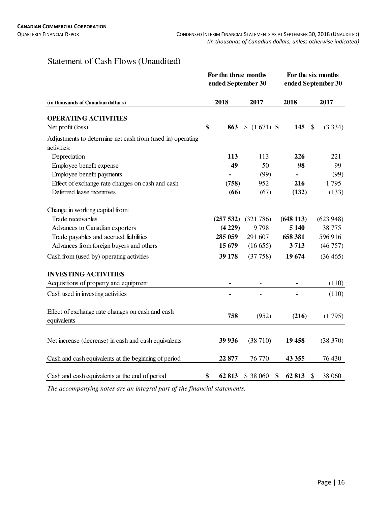# Statement of Cash Flows (Unaudited)

|                                                                 |    | For the three months<br>ended September 30 | For the six months<br>ended September 30 |             |               |          |
|-----------------------------------------------------------------|----|--------------------------------------------|------------------------------------------|-------------|---------------|----------|
| (in thousands of Canadian dollars)                              |    | 2018                                       | 2017                                     | 2018        |               | 2017     |
| <b>OPERATING ACTIVITIES</b>                                     |    |                                            |                                          |             |               |          |
| Net profit (loss)                                               | \$ | 863                                        | $$(1671)$ \\$                            | 145         | $\mathcal{S}$ | (3334)   |
| Adjustments to determine net cash from (used in) operating      |    |                                            |                                          |             |               |          |
| activities:                                                     |    |                                            |                                          |             |               |          |
| Depreciation                                                    |    | 113                                        | 113                                      | 226         |               | 221      |
| Employee benefit expense                                        |    | 49                                         | 50                                       | 98          |               | 99       |
| Employee benefit payments                                       |    |                                            | (99)                                     |             |               | (99)     |
| Effect of exchange rate changes on cash and cash                |    | (758)                                      | 952                                      | 216         |               | 1795     |
| Deferred lease incentives                                       |    | (66)                                       | (67)                                     | (132)       |               | (133)    |
| Change in working capital from:                                 |    |                                            |                                          |             |               |          |
| Trade receivables                                               |    | (257 532)                                  | (321 786)                                | (648113)    |               | (623948) |
| Advances to Canadian exporters                                  |    | (4229)                                     | 9798                                     | 5 1 4 0     |               | 38 775   |
| Trade payables and accrued liabilities                          |    | 285 059                                    | 291 607                                  | 658 381     |               | 596916   |
| Advances from foreign buyers and others                         |    | 15 679                                     | (16655)                                  | 3713        |               | (46757)  |
| Cash from (used by) operating activities                        |    | 39 178                                     | (37758)                                  | 19674       |               | (36465)  |
| <b>INVESTING ACTIVITIES</b>                                     |    |                                            |                                          |             |               |          |
| Acquisitions of property and equipment                          |    |                                            |                                          |             |               | (110)    |
| Cash used in investing activities                               |    |                                            |                                          |             |               | (110)    |
| Effect of exchange rate changes on cash and cash<br>equivalents |    | 758                                        | (952)                                    | (216)       |               | (1795)   |
|                                                                 |    |                                            |                                          |             |               |          |
| Net increase (decrease) in cash and cash equivalents            |    | 39 936                                     | (38710)                                  | 19 458      |               | (38 370) |
| Cash and cash equivalents at the beginning of period            |    | 22 877                                     | 76 770                                   | 43 355      |               | 76 430   |
| Cash and cash equivalents at the end of period                  | \$ | 62 813                                     | \$38 060                                 | \$<br>62813 | \$            | 38 060   |

*The accompanying notes are an integral part of the financial statements.*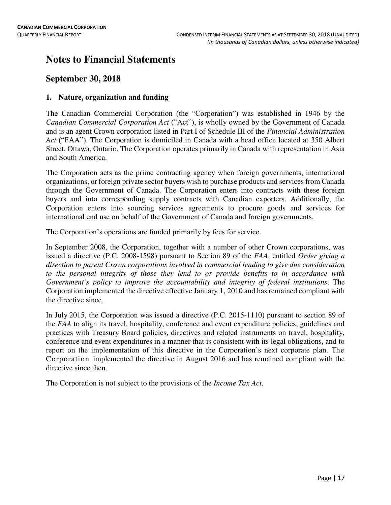# **Notes to Financial Statements**

# **September 30, 2018**

# **1. Nature, organization and funding**

The Canadian Commercial Corporation (the "Corporation") was established in 1946 by the *Canadian Commercial Corporation Act* ("Act"), is wholly owned by the Government of Canada and is an agent Crown corporation listed in Part I of Schedule III of the *Financial Administration Act* ("FAA"). The Corporation is domiciled in Canada with a head office located at 350 Albert Street, Ottawa, Ontario. The Corporation operates primarily in Canada with representation in Asia and South America.

The Corporation acts as the prime contracting agency when foreign governments, international organizations, or foreign private sector buyers wish to purchase products and services from Canada through the Government of Canada. The Corporation enters into contracts with these foreign buyers and into corresponding supply contracts with Canadian exporters. Additionally, the Corporation enters into sourcing services agreements to procure goods and services for international end use on behalf of the Government of Canada and foreign governments.

The Corporation's operations are funded primarily by fees for service.

In September 2008, the Corporation, together with a number of other Crown corporations, was issued a directive (P.C. 2008-1598) pursuant to Section 89 of the *FAA*, entitled *Order giving a direction to parent Crown corporations involved in commercial lending to give due consideration to the personal integrity of those they lend to or provide benefits to in accordance with Government's policy to improve the accountability and integrity of federal institutions*. The Corporation implemented the directive effective January 1, 2010 and has remained compliant with the directive since.

In July 2015, the Corporation was issued a directive (P.C. 2015-1110) pursuant to section 89 of the *FAA* to align its travel, hospitality, conference and event expenditure policies, guidelines and practices with Treasury Board policies, directives and related instruments on travel, hospitality, conference and event expenditures in a manner that is consistent with its legal obligations, and to report on the implementation of this directive in the Corporation's next corporate plan. The Corporation implemented the directive in August 2016 and has remained compliant with the directive since then.

The Corporation is not subject to the provisions of the *Income Tax Act*.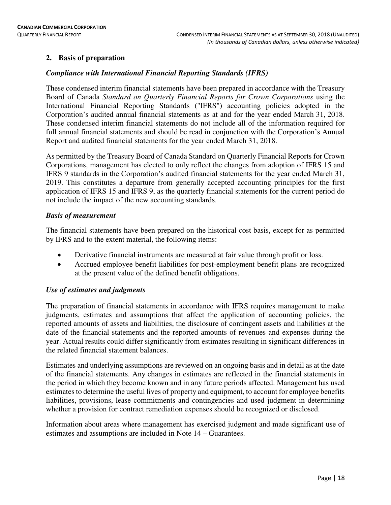# **2. Basis of preparation**

# *Compliance with International Financial Reporting Standards (IFRS)*

These condensed interim financial statements have been prepared in accordance with the Treasury Board of Canada *Standard on Quarterly Financial Reports for Crown Corporations* using the International Financial Reporting Standards ("IFRS") accounting policies adopted in the Corporation's audited annual financial statements as at and for the year ended March 31, 2018. These condensed interim financial statements do not include all of the information required for full annual financial statements and should be read in conjunction with the Corporation's Annual Report and audited financial statements for the year ended March 31, 2018.

As permitted by the Treasury Board of Canada Standard on Quarterly Financial Reports for Crown Corporations, management has elected to only reflect the changes from adoption of IFRS 15 and IFRS 9 standards in the Corporation's audited financial statements for the year ended March 31, 2019. This constitutes a departure from generally accepted accounting principles for the first application of IFRS 15 and IFRS 9, as the quarterly financial statements for the current period do not include the impact of the new accounting standards.

# *Basis of measurement*

The financial statements have been prepared on the historical cost basis, except for as permitted by IFRS and to the extent material, the following items:

- Derivative financial instruments are measured at fair value through profit or loss.
- Accrued employee benefit liabilities for post-employment benefit plans are recognized at the present value of the defined benefit obligations.

# *Use of estimates and judgments*

The preparation of financial statements in accordance with IFRS requires management to make judgments, estimates and assumptions that affect the application of accounting policies, the reported amounts of assets and liabilities, the disclosure of contingent assets and liabilities at the date of the financial statements and the reported amounts of revenues and expenses during the year. Actual results could differ significantly from estimates resulting in significant differences in the related financial statement balances.

Estimates and underlying assumptions are reviewed on an ongoing basis and in detail as at the date of the financial statements. Any changes in estimates are reflected in the financial statements in the period in which they become known and in any future periods affected. Management has used estimates to determine the useful lives of property and equipment, to account for employee benefits liabilities, provisions, lease commitments and contingencies and used judgment in determining whether a provision for contract remediation expenses should be recognized or disclosed.

Information about areas where management has exercised judgment and made significant use of estimates and assumptions are included in Note 14 – Guarantees.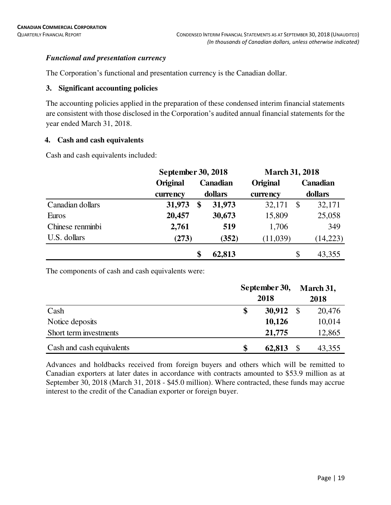# *Functional and presentation currency*

The Corporation's functional and presentation currency is the Canadian dollar.

#### **3. Significant accounting policies**

The accounting policies applied in the preparation of these condensed interim financial statements are consistent with those disclosed in the Corporation's audited annual financial statements for the year ended March 31, 2018.

# **4. Cash and cash equivalents**

Cash and cash equivalents included:

|                  | September 30, 2018 |              |                 | <b>March 31, 2018</b>   |     |  |
|------------------|--------------------|--------------|-----------------|-------------------------|-----|--|
|                  | Original           | Canadian     | <b>Original</b> | Canadian                |     |  |
|                  | currency           | dollars      | currency        | dollars                 |     |  |
| Canadian dollars | 31,973             | 31,973<br>\$ | 32,171          | 32,171<br>$\mathcal{S}$ |     |  |
| Euros            | 20,457             | 30,673       | 15,809          | 25,058                  |     |  |
| Chinese renminbi | 2,761              | 519          | 1,706           |                         | 349 |  |
| U.S. dollars     | (273)              | (352)        | (11,039)        | (14,223)                |     |  |
|                  |                    | 62,813<br>\$ |                 | 43,355<br>\$            |     |  |

The components of cash and cash equivalents were:

|                           | September 30,<br>2018 |               | March 31,<br>2018 |
|---------------------------|-----------------------|---------------|-------------------|
| Cash                      | 30,912<br>\$          | $\mathcal{S}$ | 20,476            |
| Notice deposits           | 10,126                |               | 10,014            |
| Short term investments    | 21,775                |               | 12,865            |
| Cash and cash equivalents | \$<br>62,813          |               | 43,355            |

Advances and holdbacks received from foreign buyers and others which will be remitted to Canadian exporters at later dates in accordance with contracts amounted to \$53.9 million as at September 30, 2018 (March 31, 2018 - \$45.0 million). Where contracted, these funds may accrue interest to the credit of the Canadian exporter or foreign buyer.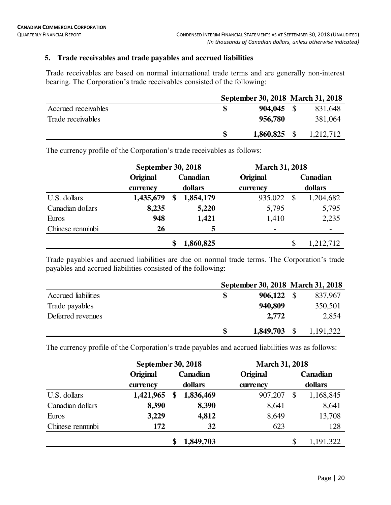# **5. Trade receivables and trade payables and accrued liabilities**

Trade receivables are based on normal international trade terms and are generally non-interest bearing. The Corporation's trade receivables consisted of the following:

|                     |              | September 30, 2018 March 31, 2018 |
|---------------------|--------------|-----------------------------------|
| Accrued receivables | $904,045$ \$ | 831,648                           |
| Trade receivables   | 956,780      | 381,064                           |
|                     | 1,860,825    | 1,212,712                         |

The currency profile of the Corporation's trade receivables as follows:

|                  |           | September 30, 2018 |           |                          | <b>March 31, 2018</b> |           |  |  |  |
|------------------|-----------|--------------------|-----------|--------------------------|-----------------------|-----------|--|--|--|
|                  | Original  | Canadian           |           | Original                 |                       | Canadian  |  |  |  |
|                  | currency  |                    | dollars   | currency                 |                       | dollars   |  |  |  |
| U.S. dollars     | 1,435,679 | \$                 | 1,854,179 | 935,022                  | $\mathbf{\$}$         | 1,204,682 |  |  |  |
| Canadian dollars | 8,235     |                    | 5,220     | 5,795                    |                       | 5,795     |  |  |  |
| Euros            | 948       |                    | 1,421     | 1,410                    |                       | 2,235     |  |  |  |
| Chinese renminbi | 26        |                    | 5         | $\overline{\phantom{0}}$ |                       |           |  |  |  |
|                  |           | \$                 | 1,860,825 |                          | \$                    | 1,212,712 |  |  |  |

Trade payables and accrued liabilities are due on normal trade terms. The Corporation's trade payables and accrued liabilities consisted of the following:

|                     | September 30, 2018 March 31, 2018 |           |
|---------------------|-----------------------------------|-----------|
| Accrued liabilities | 906,122                           | 837,967   |
| Trade payables      | 940,809                           | 350,501   |
| Deferred revenues   | 2.772                             | 2,854     |
|                     | \$<br>1,849,703                   | 1,191,322 |

The currency profile of the Corporation's trade payables and accrued liabilities was as follows:

|                  | September 30, 2018 |          | <b>March 31, 2018</b> |          |    |           |
|------------------|--------------------|----------|-----------------------|----------|----|-----------|
|                  | Original           | Canadian |                       | Original |    | Canadian  |
|                  | currency           |          | dollars               | currency |    | dollars   |
| U.S. dollars     | 1,421,965          | \$       | 1,836,469             | 907,207  | \$ | 1,168,845 |
| Canadian dollars | 8,390              |          | 8,390                 | 8,641    |    | 8,641     |
| Euros            | 3,229              |          | 4,812                 | 8,649    |    | 13,708    |
| Chinese renminbi | 172                |          | 32                    | 623      |    | 128       |
|                  |                    | \$       | 1,849,703             |          | \$ | 1,191,322 |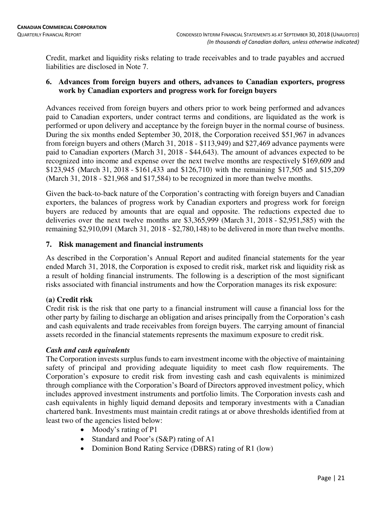Credit, market and liquidity risks relating to trade receivables and to trade payables and accrued liabilities are disclosed in Note 7.

# **6. Advances from foreign buyers and others, advances to Canadian exporters, progress work by Canadian exporters and progress work for foreign buyers**

Advances received from foreign buyers and others prior to work being performed and advances paid to Canadian exporters, under contract terms and conditions, are liquidated as the work is performed or upon delivery and acceptance by the foreign buyer in the normal course of business. During the six months ended September 30, 2018, the Corporation received \$51,967 in advances from foreign buyers and others (March 31, 2018 - \$113,949) and \$27,469 advance payments were paid to Canadian exporters (March 31, 2018 - \$44,643). The amount of advances expected to be recognized into income and expense over the next twelve months are respectively \$169,609 and \$123,945 (March 31, 2018 - \$161,433 and \$126,710) with the remaining \$17,505 and \$15,209 (March 31, 2018 - \$21,968 and \$17,584) to be recognized in more than twelve months.

Given the back-to-back nature of the Corporation's contracting with foreign buyers and Canadian exporters, the balances of progress work by Canadian exporters and progress work for foreign buyers are reduced by amounts that are equal and opposite. The reductions expected due to deliveries over the next twelve months are \$3,365,999 (March 31, 2018 - \$2,951,585) with the remaining \$2,910,091 (March 31, 2018 - \$2,780,148) to be delivered in more than twelve months.

# **7. Risk management and financial instruments**

As described in the Corporation's Annual Report and audited financial statements for the year ended March 31, 2018, the Corporation is exposed to credit risk, market risk and liquidity risk as a result of holding financial instruments. The following is a description of the most significant risks associated with financial instruments and how the Corporation manages its risk exposure:

# **(a) Credit risk**

Credit risk is the risk that one party to a financial instrument will cause a financial loss for the other party by failing to discharge an obligation and arises principally from the Corporation's cash and cash equivalents and trade receivables from foreign buyers. The carrying amount of financial assets recorded in the financial statements represents the maximum exposure to credit risk.

# *Cash and cash equivalents*

The Corporation invests surplus funds to earn investment income with the objective of maintaining safety of principal and providing adequate liquidity to meet cash flow requirements. The Corporation's exposure to credit risk from investing cash and cash equivalents is minimized through compliance with the Corporation's Board of Directors approved investment policy, which includes approved investment instruments and portfolio limits. The Corporation invests cash and cash equivalents in highly liquid demand deposits and temporary investments with a Canadian chartered bank. Investments must maintain credit ratings at or above thresholds identified from at least two of the agencies listed below:

- Moody's rating of P1
- Standard and Poor's (S&P) rating of A1
- Dominion Bond Rating Service (DBRS) rating of R1 (low)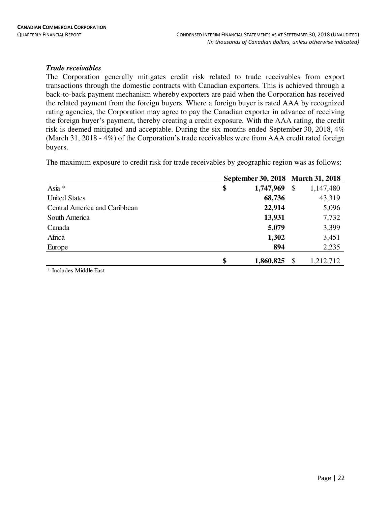#### *Trade receivables*

The Corporation generally mitigates credit risk related to trade receivables from export transactions through the domestic contracts with Canadian exporters. This is achieved through a back-to-back payment mechanism whereby exporters are paid when the Corporation has received the related payment from the foreign buyers. Where a foreign buyer is rated AAA by recognized rating agencies, the Corporation may agree to pay the Canadian exporter in advance of receiving the foreign buyer's payment, thereby creating a credit exposure. With the AAA rating, the credit risk is deemed mitigated and acceptable. During the six months ended September 30, 2018, 4% (March 31, 2018 - 4%) of the Corporation's trade receivables were from AAA credit rated foreign buyers.

The maximum exposure to credit risk for trade receivables by geographic region was as follows:

|                               | September 30, 2018 March 31, 2018 |           |                           |           |
|-------------------------------|-----------------------------------|-----------|---------------------------|-----------|
| Asia *                        | \$                                | 1,747,969 | $\boldsymbol{\mathsf{S}}$ | 1,147,480 |
| <b>United States</b>          |                                   | 68,736    |                           | 43,319    |
| Central America and Caribbean |                                   | 22,914    |                           | 5,096     |
| South America                 |                                   | 13,931    |                           | 7,732     |
| Canada                        |                                   | 5,079     |                           | 3,399     |
| Africa                        |                                   | 1,302     |                           | 3,451     |
| Europe                        |                                   | 894       |                           | 2,235     |
|                               | \$                                | 1,860,825 | $\boldsymbol{\mathsf{S}}$ | 1,212,712 |

\* Includes Middle East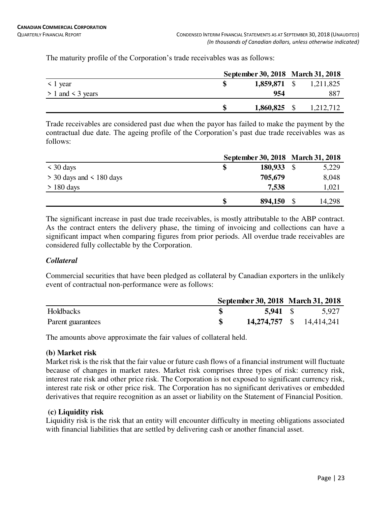The maturity profile of the Corporation's trade receivables was as follows:

|                       | September 30, 2018 March 31, 2018 |  |                        |
|-----------------------|-----------------------------------|--|------------------------|
| $\leq$ 1 year         |                                   |  | 1,859,871 \$ 1,211,825 |
| $> 1$ and $<$ 3 years | 954                               |  | 887                    |
|                       | $1,860,825$ \$                    |  | 1,212,712              |

Trade receivables are considered past due when the payor has failed to make the payment by the contractual due date. The ageing profile of the Corporation's past due trade receivables was as follows:

|                              | September 30, 2018 March 31, 2018 |  |        |  |
|------------------------------|-----------------------------------|--|--------|--|
| $\leq 30$ days               | 180,933                           |  | 5,229  |  |
| $>$ 30 days and $<$ 180 days | 705,679                           |  | 8,048  |  |
| $> 180$ days                 | 7,538                             |  | 1,021  |  |
|                              | 894,150                           |  | 14,298 |  |

The significant increase in past due trade receivables, is mostly attributable to the ABP contract. As the contract enters the delivery phase, the timing of invoicing and collections can have a significant impact when comparing figures from prior periods. All overdue trade receivables are considered fully collectable by the Corporation.

# *Collateral*

Commercial securities that have been pledged as collateral by Canadian exporters in the unlikely event of contractual non-performance were as follows:

|                   | September 30, 2018 March 31, 2018 |                          |
|-------------------|-----------------------------------|--------------------------|
| Holdbacks         | 5,941 \$                          | 5,927                    |
| Parent guarantees |                                   | 14,274,757 \$ 14,414,241 |

The amounts above approximate the fair values of collateral held.

# **(b) Market risk**

Market risk is the risk that the fair value or future cash flows of a financial instrument will fluctuate because of changes in market rates. Market risk comprises three types of risk: currency risk, interest rate risk and other price risk. The Corporation is not exposed to significant currency risk, interest rate risk or other price risk. The Corporation has no significant derivatives or embedded derivatives that require recognition as an asset or liability on the Statement of Financial Position.

#### **(c) Liquidity risk**

Liquidity risk is the risk that an entity will encounter difficulty in meeting obligations associated with financial liabilities that are settled by delivering cash or another financial asset.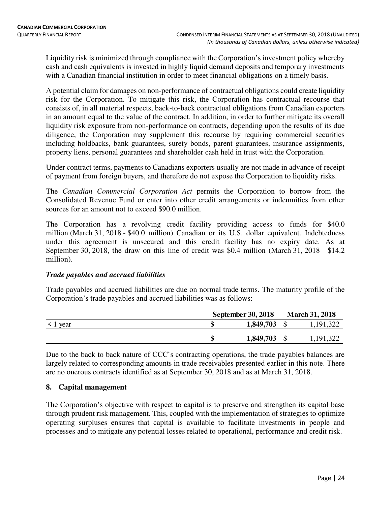Liquidity risk is minimized through compliance with the Corporation's investment policy whereby cash and cash equivalents is invested in highly liquid demand deposits and temporary investments with a Canadian financial institution in order to meet financial obligations on a timely basis.

A potential claim for damages on non-performance of contractual obligations could create liquidity risk for the Corporation. To mitigate this risk, the Corporation has contractual recourse that consists of, in all material respects, back-to-back contractual obligations from Canadian exporters in an amount equal to the value of the contract. In addition, in order to further mitigate its overall liquidity risk exposure from non-performance on contracts, depending upon the results of its due diligence, the Corporation may supplement this recourse by requiring commercial securities including holdbacks, bank guarantees, surety bonds, parent guarantees, insurance assignments, property liens, personal guarantees and shareholder cash held in trust with the Corporation.

Under contract terms, payments to Canadians exporters usually are not made in advance of receipt of payment from foreign buyers, and therefore do not expose the Corporation to liquidity risks.

The *Canadian Commercial Corporation Act* permits the Corporation to borrow from the Consolidated Revenue Fund or enter into other credit arrangements or indemnities from other sources for an amount not to exceed \$90.0 million.

The Corporation has a revolving credit facility providing access to funds for \$40.0 million (March 31, 2018 - \$40.0 million) Canadian or its U.S. dollar equivalent. Indebtedness under this agreement is unsecured and this credit facility has no expiry date. As at September 30, 2018, the draw on this line of credit was \$0.4 million (March 31, 2018 – \$14.2) million).

# *Trade payables and accrued liabilities*

Trade payables and accrued liabilities are due on normal trade terms. The maturity profile of the Corporation's trade payables and accrued liabilities was as follows:

|               | <b>September 30, 2018</b> | <b>March 31, 2018</b> |
|---------------|---------------------------|-----------------------|
| $\leq 1$ year | 1,849,703                 | 1,191,322             |
|               | $1,849,703$ \$            | 1,191,322             |

Due to the back to back nature of CCC's contracting operations, the trade payables balances are largely related to corresponding amounts in trade receivables presented earlier in this note. There are no onerous contracts identified as at September 30, 2018 and as at March 31, 2018.

# **8. Capital management**

The Corporation's objective with respect to capital is to preserve and strengthen its capital base through prudent risk management. This, coupled with the implementation of strategies to optimize operating surpluses ensures that capital is available to facilitate investments in people and processes and to mitigate any potential losses related to operational, performance and credit risk.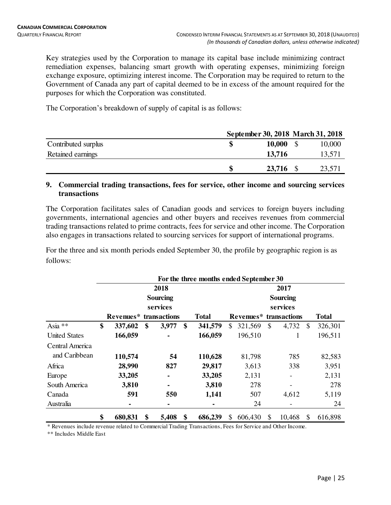Key strategies used by the Corporation to manage its capital base include minimizing contract remediation expenses, balancing smart growth with operating expenses, minimizing foreign exchange exposure, optimizing interest income. The Corporation may be required to return to the Government of Canada any part of capital deemed to be in excess of the amount required for the purposes for which the Corporation was constituted.

The Corporation's breakdown of supply of capital is as follows:

|                     | September 30, 2018 March 31, 2018 |        |        |
|---------------------|-----------------------------------|--------|--------|
| Contributed surplus |                                   | 10,000 | 10,000 |
| Retained earnings   |                                   | 13,716 | 13,571 |
|                     | \$                                | 23,716 | 23,571 |

#### **9. Commercial trading transactions, fees for service, other income and sourcing services transactions**

The Corporation facilitates sales of Canadian goods and services to foreign buyers including governments, international agencies and other buyers and receives revenues from commercial trading transactions related to prime contracts, fees for service and other income. The Corporation also engages in transactions related to sourcing services for support of international programs.

For the three and six month periods ended September 30, the profile by geographic region is as follows:

|                      | For the three months ended September 30 |                        |    |                 |    |              |                         |           |              |              |               |         |  |  |  |
|----------------------|-----------------------------------------|------------------------|----|-----------------|----|--------------|-------------------------|-----------|--------------|--------------|---------------|---------|--|--|--|
|                      |                                         |                        |    | 2018            |    |              | 2017<br><b>Sourcing</b> |           |              |              |               |         |  |  |  |
|                      |                                         |                        |    | <b>Sourcing</b> |    |              |                         |           |              |              |               |         |  |  |  |
|                      |                                         |                        |    | services        |    |              |                         |           |              | services     |               |         |  |  |  |
|                      |                                         | Revenues* transactions |    |                 |    | <b>Total</b> |                         | Revenues* |              | <b>Total</b> |               |         |  |  |  |
| Asia **              | \$                                      | 337,602                | \$ | 3,977           | \$ | 341,579      | \$                      | 321,569   | $\mathbb{S}$ | 4,732        | <sup>\$</sup> | 326,301 |  |  |  |
| <b>United States</b> |                                         | 166,059                |    |                 |    | 166,059      |                         | 196,510   |              | 1            |               | 196,511 |  |  |  |
| Central America      |                                         |                        |    |                 |    |              |                         |           |              |              |               |         |  |  |  |
| and Caribbean        |                                         | 110,574                |    | 54              |    | 110,628      |                         | 81,798    |              | 785          |               | 82,583  |  |  |  |
| Africa               |                                         | 28,990                 |    | 827             |    | 29,817       |                         | 3,613     |              | 338          |               | 3,951   |  |  |  |
| Europe               |                                         | 33,205                 |    | ۰               |    | 33,205       |                         | 2,131     |              | -            |               | 2,131   |  |  |  |
| South America        |                                         | 3,810                  |    | $\blacksquare$  |    | 3,810        |                         | 278       |              |              |               | 278     |  |  |  |
| Canada               |                                         | 591                    |    | 550             |    | 1,141        |                         | 507       |              | 4,612        |               | 5,119   |  |  |  |
| Australia            |                                         |                        |    | ۰               |    | ۰            |                         | 24        |              |              |               | 24      |  |  |  |
|                      | \$                                      | 680,831                | \$ | 5,408           | S  | 686,239      | \$.                     | 606,430   | \$           | 10,468       | S             | 616,898 |  |  |  |

\* Revenues include revenue related to Commercial Trading Transactions, Fees for Service and Other Income.

\*\* Includes Middle East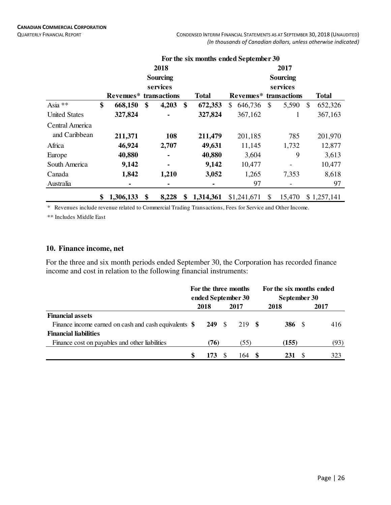QUARTERLY FINANCIAL REPORT **CONDENSED INTERIM FINANCIAL STATEMENTS AS AT SEPTEMBER 30, 2018 (UNAUDITED)** *(In thousands of Canadian dollars, unless otherwise indicated)*

|                      |                               |                 |    | For the six months ended September 30 |                        |              |          |               |              |  |  |  |  |
|----------------------|-------------------------------|-----------------|----|---------------------------------------|------------------------|--------------|----------|---------------|--------------|--|--|--|--|
|                      |                               | 2018            |    |                                       | 2017                   |              |          |               |              |  |  |  |  |
|                      |                               | <b>Sourcing</b> |    |                                       | <b>Sourcing</b>        |              |          |               |              |  |  |  |  |
|                      |                               | services        |    |                                       |                        |              | services |               |              |  |  |  |  |
|                      | <b>Revenues*</b> transactions |                 |    | <b>Total</b>                          | Revenues* transactions |              |          |               | <b>Total</b> |  |  |  |  |
| Asia **              | \$<br>668,150                 | \$<br>4,203     | \$ | 672,353                               | \$<br>646,736          | $\mathbb{S}$ | 5,590    | $\mathcal{S}$ | 652,326      |  |  |  |  |
| <b>United States</b> | 327,824                       | ۰               |    | 327,824                               | 367,162                |              |          |               | 367,163      |  |  |  |  |
| Central America      |                               |                 |    |                                       |                        |              |          |               |              |  |  |  |  |
| and Caribbean        | 211,371                       | 108             |    | 211,479                               | 201,185                |              | 785      |               | 201,970      |  |  |  |  |
| Africa               | 46,924                        | 2,707           |    | 49,631                                | 11,145                 |              | 1,732    |               | 12,877       |  |  |  |  |
| Europe               | 40,880                        | $\blacksquare$  |    | 40,880                                | 3,604                  |              | 9        |               | 3,613        |  |  |  |  |
| South America        | 9,142                         | ۰               |    | 9,142                                 | 10,477                 |              |          |               | 10,477       |  |  |  |  |
| Canada               | 1,842                         | 1,210           |    | 3,052                                 | 1,265                  |              | 7,353    |               | 8,618        |  |  |  |  |
| Australia            |                               | ٠               |    |                                       | 97                     |              |          |               | 97           |  |  |  |  |
|                      | \$<br>1,306,133               | \$<br>8,228     | \$ | 1,314,361                             | \$1,241,671            | \$           | 15,470   |               | \$1,257,141  |  |  |  |  |

\* Revenues include revenue related to Commercial Trading Transactions, Fees for Service and Other Income.

\*\* Includes Middle East

#### **10. Finance income, net**

For the three and six month periods ended September 30, the Corporation has recorded finance income and cost in relation to the following financial instruments:

|                                                        | For the three months<br>ended September 30 |       |    | For the six months ended<br>September 30 |        |  |      |  |
|--------------------------------------------------------|--------------------------------------------|-------|----|------------------------------------------|--------|--|------|--|
|                                                        |                                            | 2018  |    | 2017                                     | 2018   |  | 2017 |  |
| <b>Financial assets</b>                                |                                            |       |    |                                          |        |  |      |  |
| Finance income earned on cash and cash equivalents $\$ |                                            | 249 S |    | 219 S                                    | 386 \$ |  | 416  |  |
| <b>Financial liabilities</b>                           |                                            |       |    |                                          |        |  |      |  |
| Finance cost on payables and other liabilities         |                                            | (76)  |    | (55)                                     | (155)  |  | (93) |  |
|                                                        | S                                          | 173   | -8 | 64                                       | 231    |  | 323  |  |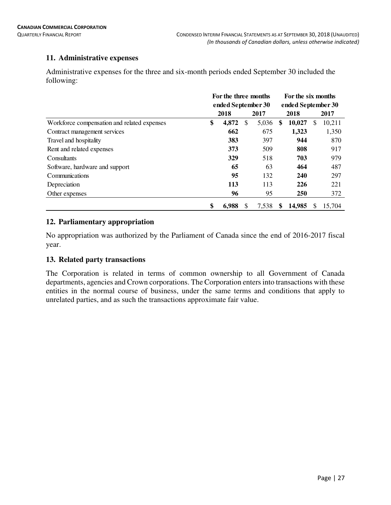# **11. Administrative expenses**

Administrative expenses for the three and six-month periods ended September 30 included the following:

|                                             | For the three months |                    |   | For the six months |                    |        |   |        |  |  |
|---------------------------------------------|----------------------|--------------------|---|--------------------|--------------------|--------|---|--------|--|--|
|                                             |                      | ended September 30 |   |                    | ended September 30 |        |   |        |  |  |
|                                             |                      | 2018               |   | 2017               |                    | 2018   |   | 2017   |  |  |
| Workforce compensation and related expenses | \$                   | 4,872              | S | 5,036              | \$                 | 10,027 | S | 10,211 |  |  |
| Contract management services                |                      | 662                |   | 675                |                    | 1,323  |   | 1,350  |  |  |
| Travel and hospitality                      |                      | 383                |   | 397                |                    | 944    |   | 870    |  |  |
| Rent and related expenses                   |                      | 373                |   | 509                |                    | 808    |   | 917    |  |  |
| Consultants                                 |                      | 329                |   | 518                |                    | 703    |   | 979    |  |  |
| Software, hardware and support              |                      | 65                 |   | 63                 |                    | 464    |   | 487    |  |  |
| Communications                              |                      | 95                 |   | 132                |                    | 240    |   | 297    |  |  |
| Depreciation                                |                      | 113                |   | 113                |                    | 226    |   | 221    |  |  |
| Other expenses                              |                      | 96                 |   | 95                 |                    | 250    |   | 372    |  |  |
|                                             | \$                   | 6,988              | S | 7,538              | S                  | 14,985 | S | 15,704 |  |  |

# **12. Parliamentary appropriation**

No appropriation was authorized by the Parliament of Canada since the end of 2016-2017 fiscal year.

# **13. Related party transactions**

The Corporation is related in terms of common ownership to all Government of Canada departments, agencies and Crown corporations. The Corporation enters into transactions with these entities in the normal course of business, under the same terms and conditions that apply to unrelated parties, and as such the transactions approximate fair value.